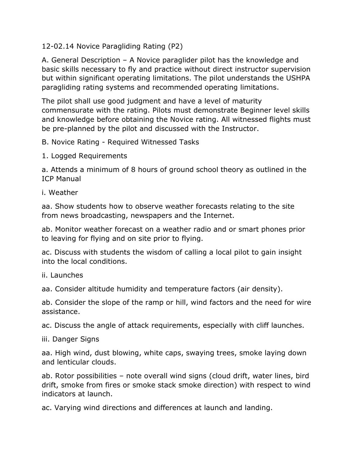12-02.14 Novice Paragliding Rating (P2)

A. General Description – A Novice paraglider pilot has the knowledge and basic skills necessary to fly and practice without direct instructor supervision but within significant operating limitations. The pilot understands the USHPA paragliding rating systems and recommended operating limitations.

The pilot shall use good judgment and have a level of maturity commensurate with the rating. Pilots must demonstrate Beginner level skills and knowledge before obtaining the Novice rating. All witnessed flights must be pre-planned by the pilot and discussed with the Instructor.

B. Novice Rating - Required Witnessed Tasks

1. Logged Requirements

a. Attends a minimum of 8 hours of ground school theory as outlined in the ICP Manual

i. Weather

aa. Show students how to observe weather forecasts relating to the site from news broadcasting, newspapers and the Internet.

ab. Monitor weather forecast on a weather radio and or smart phones prior to leaving for flying and on site prior to flying.

ac. Discuss with students the wisdom of calling a local pilot to gain insight into the local conditions.

## ii. Launches

aa. Consider altitude humidity and temperature factors (air density).

ab. Consider the slope of the ramp or hill, wind factors and the need for wire assistance.

ac. Discuss the angle of attack requirements, especially with cliff launches.

iii. Danger Signs

aa. High wind, dust blowing, white caps, swaying trees, smoke laying down and lenticular clouds.

ab. Rotor possibilities – note overall wind signs (cloud drift, water lines, bird drift, smoke from fires or smoke stack smoke direction) with respect to wind indicators at launch.

ac. Varying wind directions and differences at launch and landing.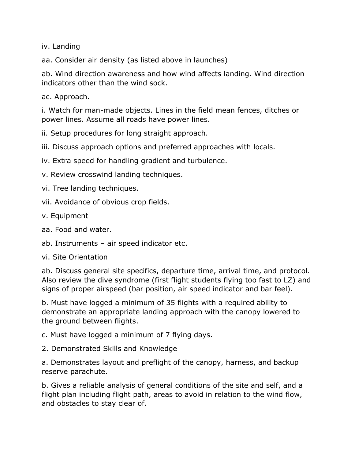iv. Landing

aa. Consider air density (as listed above in launches)

ab. Wind direction awareness and how wind affects landing. Wind direction indicators other than the wind sock.

ac. Approach.

i. Watch for man-made objects. Lines in the field mean fences, ditches or power lines. Assume all roads have power lines.

ii. Setup procedures for long straight approach.

iii. Discuss approach options and preferred approaches with locals.

iv. Extra speed for handling gradient and turbulence.

v. Review crosswind landing techniques.

vi. Tree landing techniques.

vii. Avoidance of obvious crop fields.

v. Equipment

aa. Food and water.

ab. Instruments – air speed indicator etc.

vi. Site Orientation

ab. Discuss general site specifics, departure time, arrival time, and protocol. Also review the dive syndrome (first flight students flying too fast to LZ) and signs of proper airspeed (bar position, air speed indicator and bar feel).

b. Must have logged a minimum of 35 flights with a required ability to demonstrate an appropriate landing approach with the canopy lowered to the ground between flights.

c. Must have logged a minimum of 7 flying days.

2. Demonstrated Skills and Knowledge

a. Demonstrates layout and preflight of the canopy, harness, and backup reserve parachute.

b. Gives a reliable analysis of general conditions of the site and self, and a flight plan including flight path, areas to avoid in relation to the wind flow, and obstacles to stay clear of.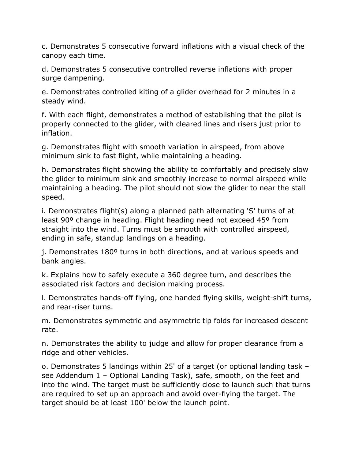c. Demonstrates 5 consecutive forward inflations with a visual check of the canopy each time.

d. Demonstrates 5 consecutive controlled reverse inflations with proper surge dampening.

e. Demonstrates controlled kiting of a glider overhead for 2 minutes in a steady wind.

f. With each flight, demonstrates a method of establishing that the pilot is properly connected to the glider, with cleared lines and risers just prior to inflation.

g. Demonstrates flight with smooth variation in airspeed, from above minimum sink to fast flight, while maintaining a heading.

h. Demonstrates flight showing the ability to comfortably and precisely slow the glider to minimum sink and smoothly increase to normal airspeed while maintaining a heading. The pilot should not slow the glider to near the stall speed.

i. Demonstrates flight(s) along a planned path alternating 'S' turns of at least 90º change in heading. Flight heading need not exceed 45º from straight into the wind. Turns must be smooth with controlled airspeed, ending in safe, standup landings on a heading.

j. Demonstrates 180º turns in both directions, and at various speeds and bank angles.

k. Explains how to safely execute a 360 degree turn, and describes the associated risk factors and decision making process.

l. Demonstrates hands-off flying, one handed flying skills, weight-shift turns, and rear-riser turns.

m. Demonstrates symmetric and asymmetric tip folds for increased descent rate.

n. Demonstrates the ability to judge and allow for proper clearance from a ridge and other vehicles.

o. Demonstrates 5 landings within 25' of a target (or optional landing task – see Addendum 1 – Optional Landing Task), safe, smooth, on the feet and into the wind. The target must be sufficiently close to launch such that turns are required to set up an approach and avoid over-flying the target. The target should be at least 100' below the launch point.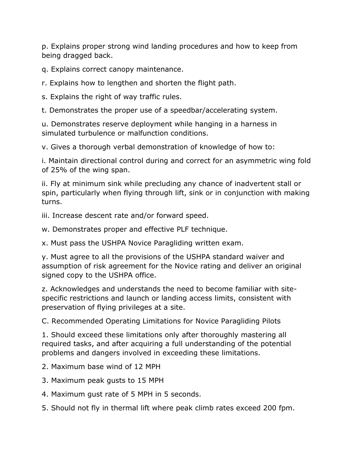p. Explains proper strong wind landing procedures and how to keep from being dragged back.

q. Explains correct canopy maintenance.

r. Explains how to lengthen and shorten the flight path.

s. Explains the right of way traffic rules.

t. Demonstrates the proper use of a speedbar/accelerating system.

u. Demonstrates reserve deployment while hanging in a harness in simulated turbulence or malfunction conditions.

v. Gives a thorough verbal demonstration of knowledge of how to:

i. Maintain directional control during and correct for an asymmetric wing fold of 25% of the wing span.

ii. Fly at minimum sink while precluding any chance of inadvertent stall or spin, particularly when flying through lift, sink or in conjunction with making turns.

iii. Increase descent rate and/or forward speed.

w. Demonstrates proper and effective PLF technique.

x. Must pass the USHPA Novice Paragliding written exam.

y. Must agree to all the provisions of the USHPA standard waiver and assumption of risk agreement for the Novice rating and deliver an original signed copy to the USHPA office.

z. Acknowledges and understands the need to become familiar with sitespecific restrictions and launch or landing access limits, consistent with preservation of flying privileges at a site.

C. Recommended Operating Limitations for Novice Paragliding Pilots

1. Should exceed these limitations only after thoroughly mastering all required tasks, and after acquiring a full understanding of the potential problems and dangers involved in exceeding these limitations.

- 2. Maximum base wind of 12 MPH
- 3. Maximum peak gusts to 15 MPH
- 4. Maximum gust rate of 5 MPH in 5 seconds.
- 5. Should not fly in thermal lift where peak climb rates exceed 200 fpm.